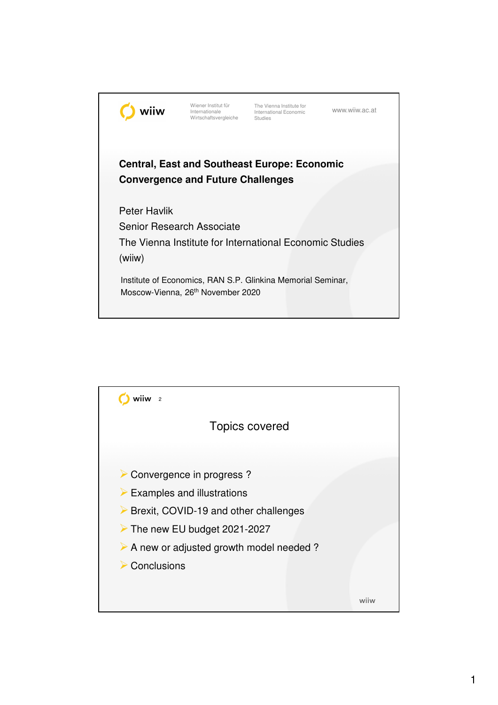

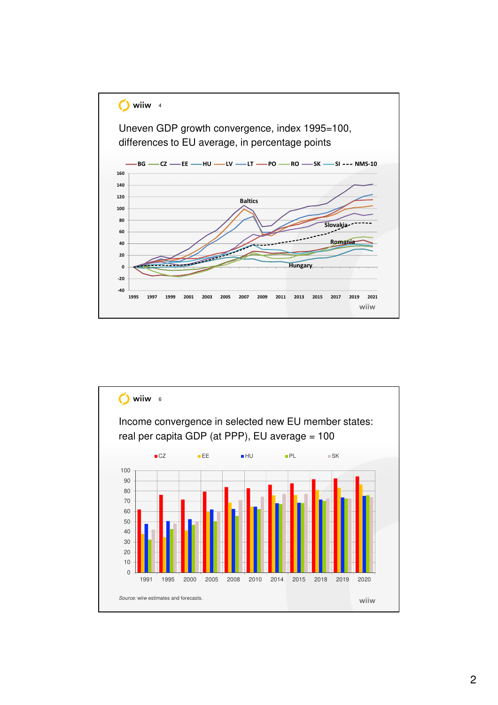

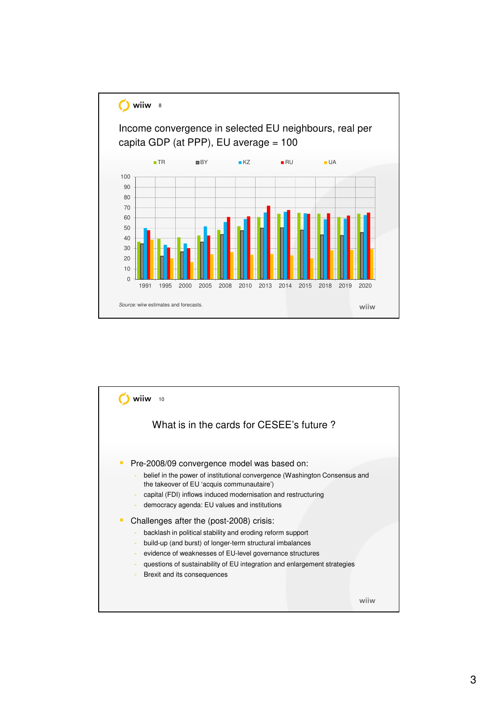

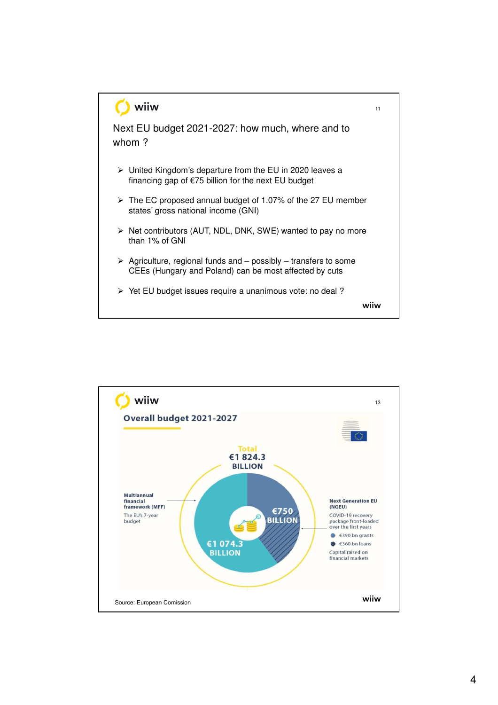

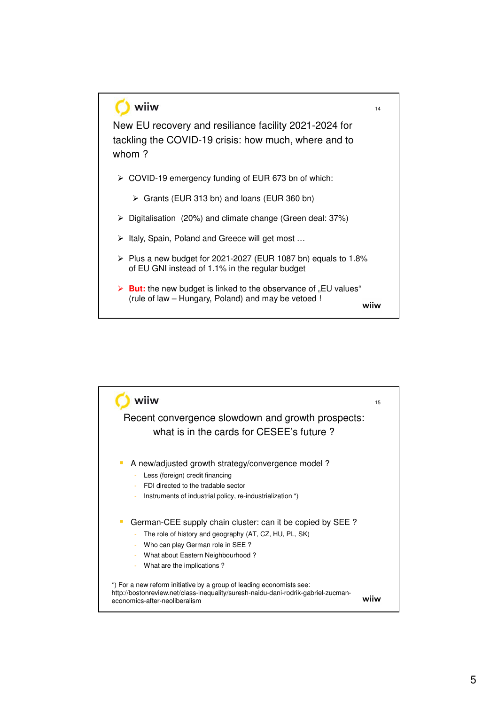

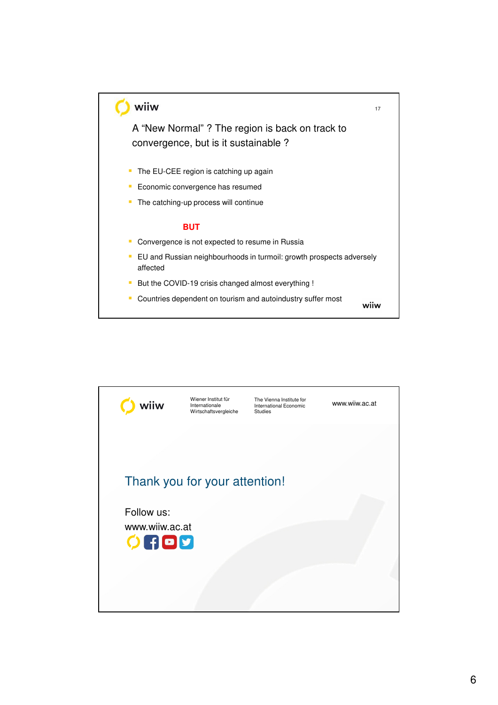